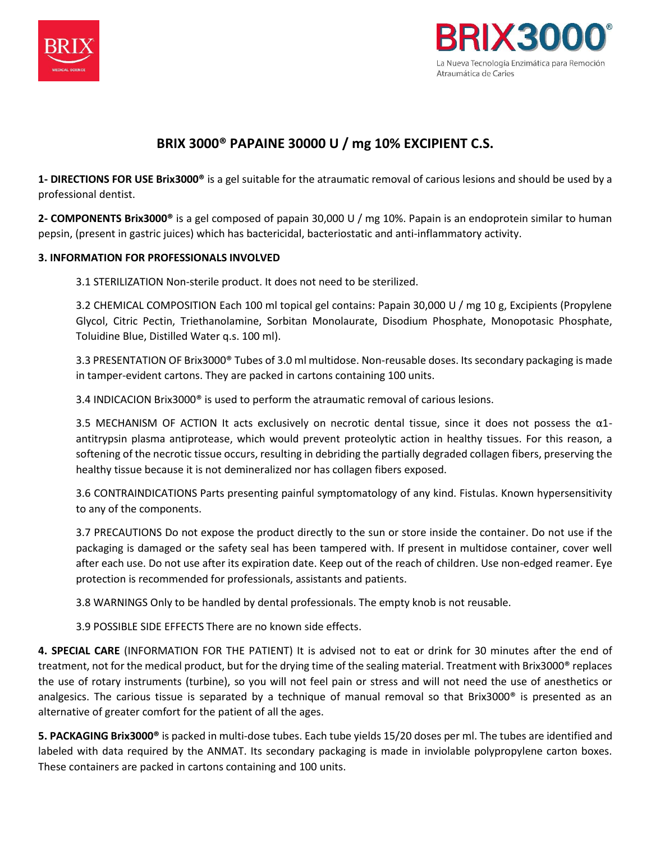



# **BRIX 3000® PAPAINE 30000 U / mg 10% EXCIPIENT C.S.**

**1- DIRECTIONS FOR USE Brix3000®** is a gel suitable for the atraumatic removal of carious lesions and should be used by a professional dentist.

**2- COMPONENTS Brix3000®** is a gel composed of papain 30,000 U / mg 10%. Papain is an endoprotein similar to human pepsin, (present in gastric juices) which has bactericidal, bacteriostatic and anti-inflammatory activity.

# **3. INFORMATION FOR PROFESSIONALS INVOLVED**

3.1 STERILIZATION Non-sterile product. It does not need to be sterilized.

3.2 CHEMICAL COMPOSITION Each 100 ml topical gel contains: Papain 30,000 U / mg 10 g, Excipients (Propylene Glycol, Citric Pectin, Triethanolamine, Sorbitan Monolaurate, Disodium Phosphate, Monopotasic Phosphate, Toluidine Blue, Distilled Water q.s. 100 ml).

3.3 PRESENTATION OF Brix3000® Tubes of 3.0 ml multidose. Non-reusable doses. Its secondary packaging is made in tamper-evident cartons. They are packed in cartons containing 100 units.

3.4 INDICACION Brix3000® is used to perform the atraumatic removal of carious lesions.

3.5 MECHANISM OF ACTION It acts exclusively on necrotic dental tissue, since it does not possess the  $\alpha$ 1antitrypsin plasma antiprotease, which would prevent proteolytic action in healthy tissues. For this reason, a softening of the necrotic tissue occurs, resulting in debriding the partially degraded collagen fibers, preserving the healthy tissue because it is not demineralized nor has collagen fibers exposed.

3.6 CONTRAINDICATIONS Parts presenting painful symptomatology of any kind. Fistulas. Known hypersensitivity to any of the components.

3.7 PRECAUTIONS Do not expose the product directly to the sun or store inside the container. Do not use if the packaging is damaged or the safety seal has been tampered with. If present in multidose container, cover well after each use. Do not use after its expiration date. Keep out of the reach of children. Use non-edged reamer. Eye protection is recommended for professionals, assistants and patients.

3.8 WARNINGS Only to be handled by dental professionals. The empty knob is not reusable.

3.9 POSSIBLE SIDE EFFECTS There are no known side effects.

**4. SPECIAL CARE** (INFORMATION FOR THE PATIENT) It is advised not to eat or drink for 30 minutes after the end of treatment, not for the medical product, but for the drying time of the sealing material. Treatment with Brix3000® replaces the use of rotary instruments (turbine), so you will not feel pain or stress and will not need the use of anesthetics or analgesics. The carious tissue is separated by a technique of manual removal so that Brix3000® is presented as an alternative of greater comfort for the patient of all the ages.

**5. PACKAGING Brix3000®** is packed in multi-dose tubes. Each tube yields 15/20 doses per ml. The tubes are identified and labeled with data required by the ANMAT. Its secondary packaging is made in inviolable polypropylene carton boxes. These containers are packed in cartons containing and 100 units.